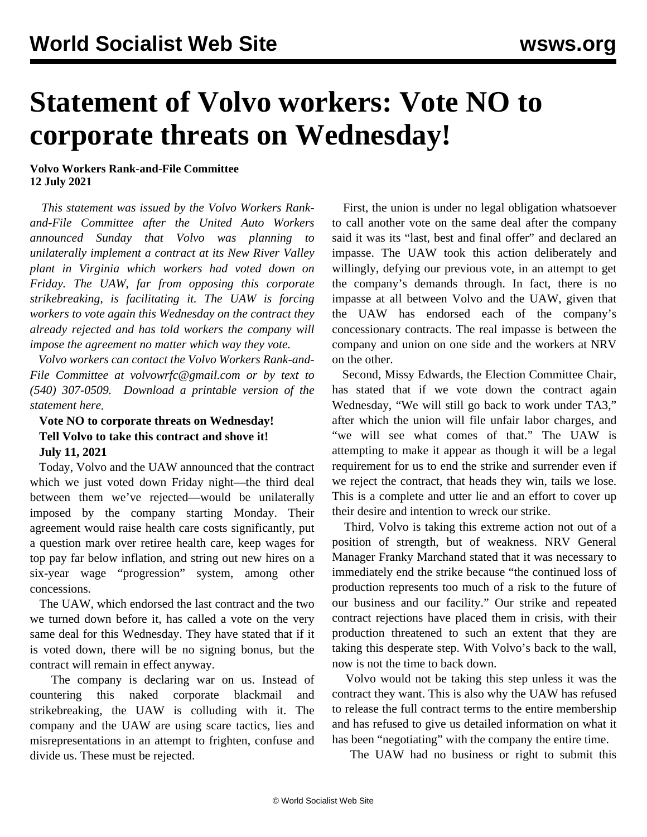## **Statement of Volvo workers: Vote NO to corporate threats on Wednesday!**

## **Volvo Workers Rank-and-File Committee 12 July 2021**

 *This statement was issued by the Volvo Workers Rankand-File Committee after the United Auto Workers announced Sunday that Volvo was planning to unilaterally implement a contract at its New River Valley plant in Virginia which workers had voted down on Friday. The UAW, far from opposing this corporate strikebreaking, is facilitating it. The UAW is forcing workers to vote again this Wednesday on the contract they already rejected and has told workers the company will impose the agreement no matter which way they vote.*

 *Volvo workers can contact the Volvo Workers Rank-and-File Committee at [volvowrfc@gmail.com](mailto:volvowrfc@gmail.com) or by text to (540) 307-0509. [Download a printable version of the](https://drive.google.com/file/d/1WLiJD_tDHM7VZ5ATI6YtoViuXUr62Brg/view?usp=sharing) [statement here.](https://drive.google.com/file/d/1WLiJD_tDHM7VZ5ATI6YtoViuXUr62Brg/view?usp=sharing)*

## **Vote NO to corporate threats on Wednesday! Tell Volvo to take this contract and shove it! July 11, 2021**

 Today, Volvo and the UAW announced that the contract which we just voted down Friday night—the third deal between them we've rejected—would be unilaterally imposed by the company starting Monday. Their agreement would raise health care costs significantly, put a question mark over retiree health care, keep wages for top pay far below inflation, and string out new hires on a six-year wage "progression" system, among other concessions.

 The UAW, which endorsed the last contract and the two we turned down before it, has called a vote on the very same deal for this Wednesday. They have stated that if it is voted down, there will be no signing bonus, but the contract will remain in effect anyway.

 The company is declaring war on us. Instead of countering this naked corporate blackmail and strikebreaking, the UAW is colluding with it. The company and the UAW are using scare tactics, lies and misrepresentations in an attempt to frighten, confuse and divide us. These must be rejected.

 First, the union is under no legal obligation whatsoever to call another vote on the same deal after the company said it was its "last, best and final offer" and declared an impasse. The UAW took this action deliberately and willingly, defying our previous vote, in an attempt to get the company's demands through. In fact, there is no impasse at all between Volvo and the UAW, given that the UAW has endorsed each of the company's concessionary contracts. The real impasse is between the company and union on one side and the workers at NRV on the other.

 Second, Missy Edwards, the Election Committee Chair, has stated that if we vote down the contract again Wednesday, "We will still go back to work under TA3," after which the union will file unfair labor charges, and "we will see what comes of that." The UAW is attempting to make it appear as though it will be a legal requirement for us to end the strike and surrender even if we reject the contract, that heads they win, tails we lose. This is a complete and utter lie and an effort to cover up their desire and intention to wreck our strike.

 Third, Volvo is taking this extreme action not out of a position of strength, but of weakness. NRV General Manager Franky Marchand stated that it was necessary to immediately end the strike because "the continued loss of production represents too much of a risk to the future of our business and our facility." Our strike and repeated contract rejections have placed them in crisis, with their production threatened to such an extent that they are taking this desperate step. With Volvo's back to the wall, now is not the time to back down.

 Volvo would not be taking this step unless it was the contract they want. This is also why the UAW has refused to release the full contract terms to the entire membership and has refused to give us detailed information on what it has been "negotiating" with the company the entire time.

The UAW had no business or right to submit this